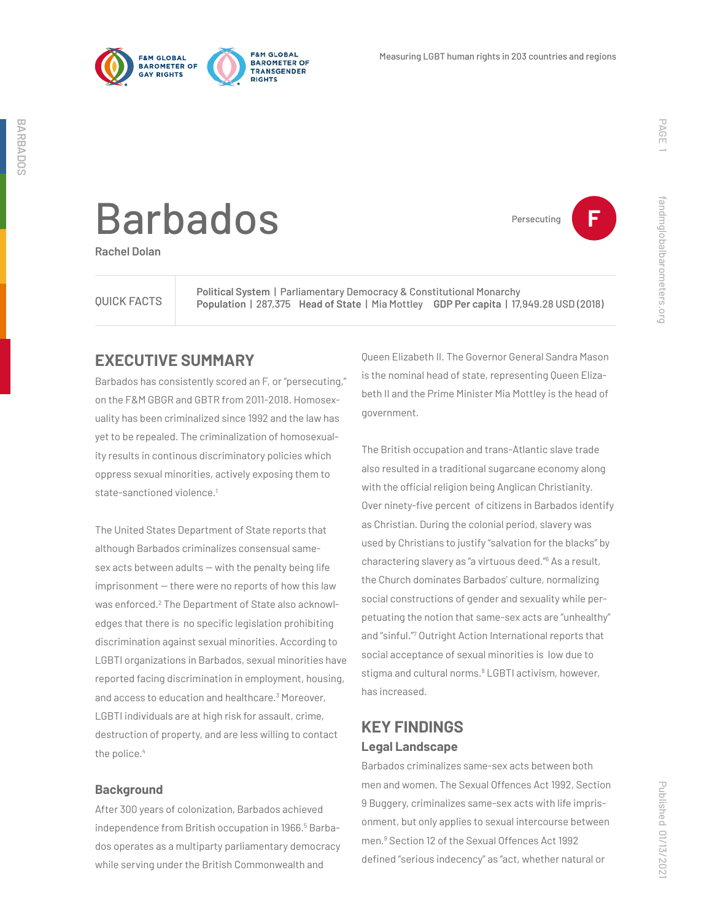

Persecuting **F**

fandmglobalbarometers.org

fandmglobalbarometers.org

# Barbados

**Rachel Dolan**

QUICK FACTS

**Political System** | Parliamentary Democracy & Constitutional Monarchy **Population** | 287,375 **Head of State** | Mia Mottley **GDP Per capita** | 17,949.28 USD (2018)

## **EXECUTIVE SUMMARY**

Barbados has consistently scored an F, or "persecuting," on the F&M GBGR and GBTR from 2011-2018. Homosexuality has been criminalized since 1992 and the law has yet to be repealed. The criminalization of homosexuality results in continous discriminatory policies which oppress sexual minorities, actively exposing them to state-sanctioned violence.<sup>1</sup>

The United States Department of State reports that although Barbados criminalizes consensual same $sex$  acts between adults  $-$  with the penalty being life  $imprisonment - there were no reports of how this law$ was enforced.<sup>2</sup> The Department of State also acknowledges that there is no specific legislation prohibiting discrimination against sexual minorities. According to LGBTI organizations in Barbados, sexual minorities have reported facing discrimination in employment, housing, and access to education and healthcare.<sup>3</sup> Moreover, LGBTI individuals are at high risk for assault, crime, destruction of property, and are less willing to contact the police.<sup>4</sup>

#### **Background**

After 300 years of colonization, Barbados achieved independence from British occupation in 1966.<sup>5</sup> Barbados operates as a multiparty parliamentary democracy while serving under the British Commonwealth and

Queen Elizabeth II. The Governor General Sandra Mason is the nominal head of state, representing Queen Elizabeth II and the Prime Minister Mia Mottley is the head of government.

The British occupation and trans-Atlantic slave trade also resulted in a traditional sugarcane economy along with the official religion being Anglican Christianity. Over ninety-five percent of citizens in Barbados identify as Christian. During the colonial period, slavery was used by Christians to justify "salvation for the blacks" by charactering slavery as "a virtuous deed."6 As a result, the Church dominates Barbados' culture, normalizing social constructions of gender and sexuality while perpetuating the notion that same-sex acts are "unhealthy" and "sinful."7 Outright Action International reports that social acceptance of sexual minorities is low due to stigma and cultural norms.<sup>8</sup> LGBTI activism, however, has increased.

# **KEY FINDINGS Legal Landscape**

Barbados criminalizes same-sex acts between both men and women. The Sexual Offences Act 1992, Section 9 Buggery, criminalizes same-sex acts with life imprisonment, but only applies to sexual intercourse between men.9 Section 12 of the Sexual Offences Act 1992 defined "serious indecency" as "act, whether natural or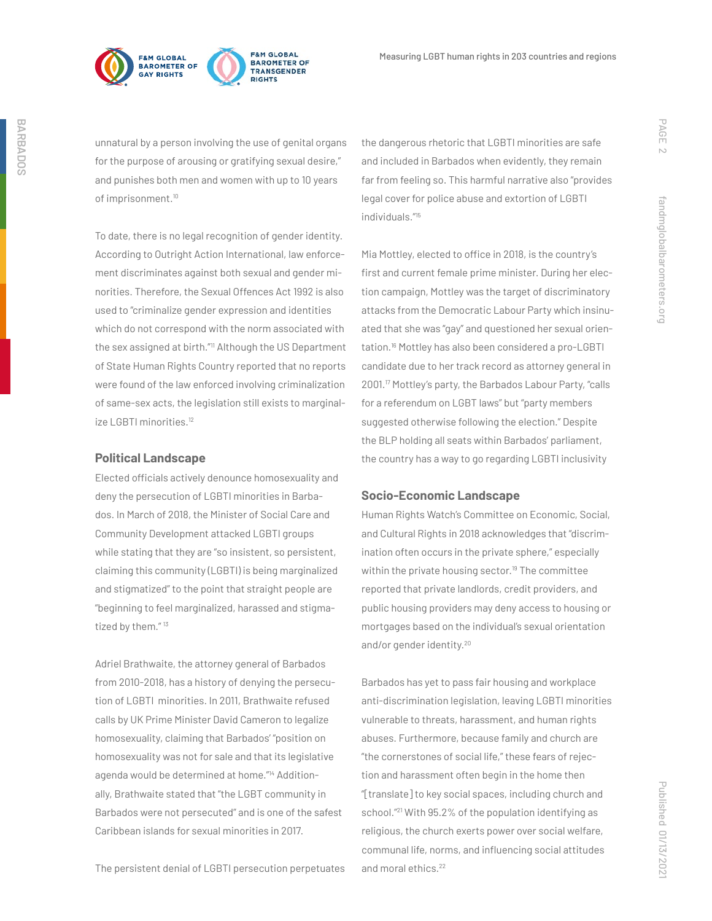



unnatural by a person involving the use of genital organs for the purpose of arousing or gratifying sexual desire," and punishes both men and women with up to 10 years of imprisonment.<sup>10</sup>

To date, there is no legal recognition of gender identity. According to Outright Action International, law enforcement discriminates against both sexual and gender minorities. Therefore, the Sexual Offences Act 1992 is also used to "criminalize gender expression and identities which do not correspond with the norm associated with the sex assigned at birth."<sup>11</sup> Although the US Department of State Human Rights Country reported that no reports were found of the law enforced involving criminalization of same-sex acts, the legislation still exists to marginalize LGBTI minorities.<sup>12</sup>

#### **Political Landscape**

Elected officials actively denounce homosexuality and deny the persecution of LGBTI minorities in Barbados. In March of 2018, the Minister of Social Care and Community Development attacked LGBTI groups while stating that they are "so insistent, so persistent, claiming this community (LGBTI) is being marginalized and stigmatized" to the point that straight people are "beginning to feel marginalized, harassed and stigmatized by them."<sup>13</sup>

Adriel Brathwaite, the attorney general of Barbados from 2010-2018, has a history of denying the persecution of LGBTI minorities. In 2011, Brathwaite refused calls by UK Prime Minister David Cameron to legalize homosexuality, claiming that Barbados' "position on homosexuality was not for sale and that its legislative agenda would be determined at home."14 Additionally, Brathwaite stated that "the LGBT community in Barbados were not persecuted" and is one of the safest Caribbean islands for sexual minorities in 2017.

the dangerous rhetoric that LGBTI minorities are safe and included in Barbados when evidently, they remain far from feeling so. This harmful narrative also "provides legal cover for police abuse and extortion of LGBTI individuals."15

Mia Mottley, elected to office in 2018, is the country's first and current female prime minister. During her election campaign, Mottley was the target of discriminatory attacks from the Democratic Labour Party which insinuated that she was "gay" and questioned her sexual orientation.16 Mottley has also been considered a pro-LGBTI candidate due to her track record as attorney general in 2001.17 Mottley's party, the Barbados Labour Party, "calls for a referendum on LGBT laws" but "party members suggested otherwise following the election." Despite the BLP holding all seats within Barbados' parliament, the country has a way to go regarding LGBTI inclusivity

#### **Socio-Economic Landscape**

Human Rights Watch's Committee on Economic, Social, and Cultural Rights in 2018 acknowledges that "discrimination often occurs in the private sphere," especially within the private housing sector.<sup>19</sup> The committee reported that private landlords, credit providers, and public housing providers may deny access to housing or mortgages based on the individual's sexual orientation and/or gender identity.20

Barbados has yet to pass fair housing and workplace anti-discrimination legislation, leaving LGBTI minorities vulnerable to threats, harassment, and human rights abuses. Furthermore, because family and church are "the cornerstones of social life," these fears of rejection and harassment often begin in the home then "[translate] to key social spaces, including church and school."21 With 95.2% of the population identifying as religious, the church exerts power over social welfare, communal life, norms, and influencing social attitudes and moral ethics.22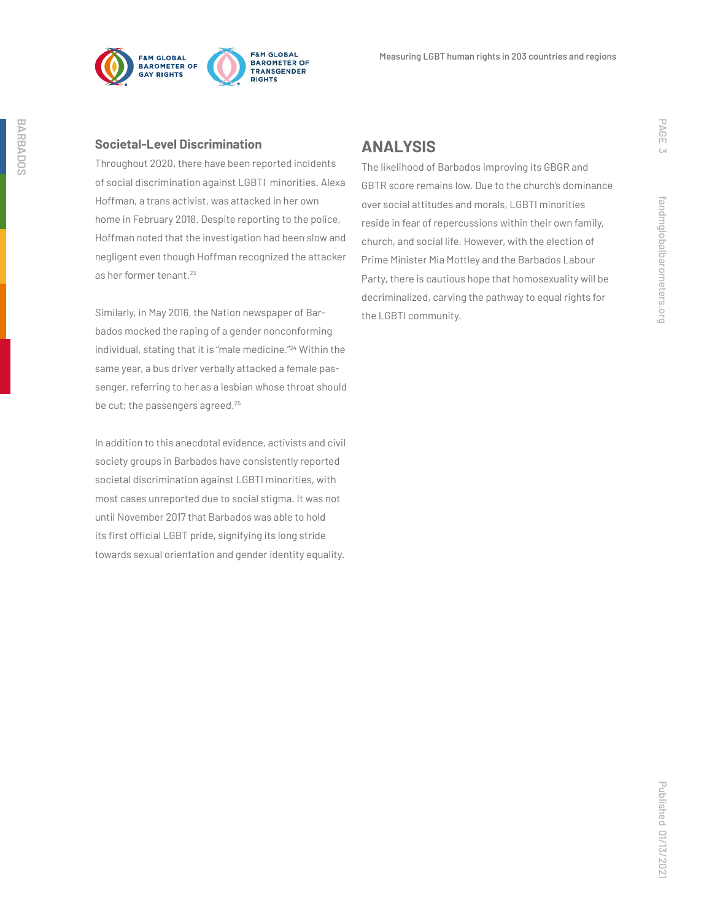

#### **Societal-Level Discrimination**

Throughout 2020, there have been reported incidents of social discrimination against LGBTI minorities. Alexa Hoffman, a trans activist, was attacked in her own home in February 2018. Despite reporting to the police, Hoffman noted that the investigation had been slow and negligent even though Hoffman recognized the attacker as her former tenant.<sup>23</sup>

Similarly, in May 2016, the Nation newspaper of Barbados mocked the raping of a gender nonconforming individual, stating that it is "male medicine."24 Within the same year, a bus driver verbally attacked a female passenger, referring to her as a lesbian whose throat should be cut; the passengers agreed.<sup>25</sup>

In addition to this anecdotal evidence, activists and civil society groups in Barbados have consistently reported societal discrimination against LGBTI minorities, with most cases unreported due to social stigma. It was not until November 2017 that Barbados was able to hold its first official LGBT pride, signifying its long stride towards sexual orientation and gender identity equality.

### **ANALYSIS**

The likelihood of Barbados improving its GBGR and GBTR score remains low. Due to the church's dominance over social attitudes and morals, LGBTI minorities reside in fear of repercussions within their own family, church, and social life. However, with the election of Prime Minister Mia Mottley and the Barbados Labour Party, there is cautious hope that homosexuality will be decriminalized, carving the pathway to equal rights for the LGBTI community.

PAGE 3

fandmglobalbarometers.org

fandmglobalbarometers.org